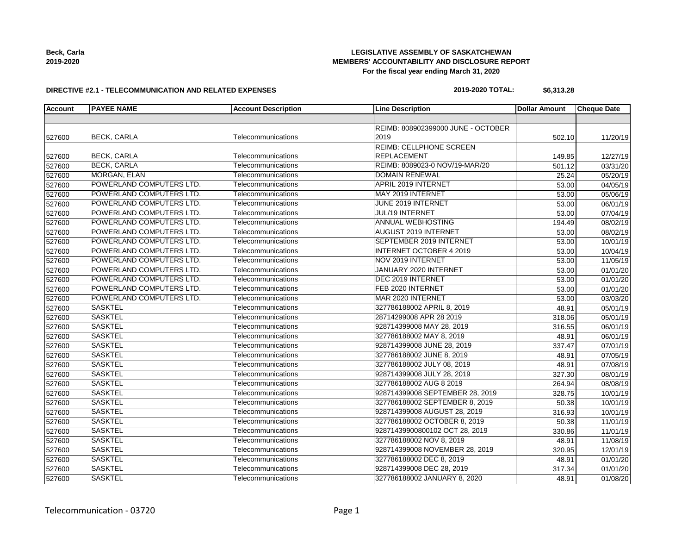| Beck, Carla |
|-------------|
| 2019-2020   |

#### **LEGISLATIVE ASSEMBLY OF SASKATCHEWAN MEMBERS' ACCOUNTABILITY AND DISCLOSURE REPORT For the fiscal year ending March 31, 2020**

#### **DIRECTIVE #2.1 - TELECOMMUNICATION AND RELATED EXPENSES**

# **2019-2020 TOTAL: \$6,313.28**

| <b>Account</b> | <b>PAYEE NAME</b>        | <b>Account Description</b> | <b>Line Description</b>            | <b>Dollar Amount</b> | <b>Cheque Date</b> |
|----------------|--------------------------|----------------------------|------------------------------------|----------------------|--------------------|
|                |                          |                            |                                    |                      |                    |
|                |                          |                            | REIMB: 808902399000 JUNE - OCTOBER |                      |                    |
| 527600         | <b>BECK, CARLA</b>       | Telecommunications         | 2019                               | 502.10               | 11/20/19           |
|                |                          |                            | <b>REIMB: CELLPHONE SCREEN</b>     |                      |                    |
| 527600         | <b>BECK, CARLA</b>       | Telecommunications         | <b>REPLACEMENT</b>                 | 149.85               | 12/27/19           |
| 527600         | <b>BECK, CARLA</b>       | Telecommunications         | REIMB: 8089023-0 NOV/19-MAR/20     | 501.12               | 03/31/20           |
| 527600         | MORGAN, ELAN             | Telecommunications         | <b>DOMAIN RENEWAL</b>              | 25.24                | 05/20/19           |
| 527600         | POWERLAND COMPUTERS LTD. | Telecommunications         | APRIL 2019 INTERNET                | 53.00                | 04/05/19           |
| 527600         | POWERLAND COMPUTERS LTD. | Telecommunications         | MAY 2019 INTERNET                  | 53.00                | 05/06/19           |
| 527600         | POWERLAND COMPUTERS LTD. | Telecommunications         | <b>JUNE 2019 INTERNET</b>          | 53.00                | 06/01/19           |
| 527600         | POWERLAND COMPUTERS LTD. | Telecommunications         | <b>JUL/19 INTERNET</b>             | 53.00                | 07/04/19           |
| 527600         | POWERLAND COMPUTERS LTD. | Telecommunications         | <b>ANNUAL WEBHOSTING</b>           | 194.49               | 08/02/19           |
| 527600         | POWERLAND COMPUTERS LTD. | Telecommunications         | <b>AUGUST 2019 INTERNET</b>        | 53.00                | 08/02/19           |
| 527600         | POWERLAND COMPUTERS LTD. | Telecommunications         | SEPTEMBER 2019 INTERNET            | 53.00                | 10/01/19           |
| 527600         | POWERLAND COMPUTERS LTD. | Telecommunications         | <b>INTERNET OCTOBER 4 2019</b>     | 53.00                | 10/04/19           |
| 527600         | POWERLAND COMPUTERS LTD. | Telecommunications         | NOV 2019 INTERNET                  | 53.00                | 11/05/19           |
| 527600         | POWERLAND COMPUTERS LTD. | Telecommunications         | JANUARY 2020 INTERNET              | 53.00                | 01/01/20           |
| 527600         | POWERLAND COMPUTERS LTD. | Telecommunications         | DEC 2019 INTERNET                  | 53.00                | 01/01/20           |
| 527600         | POWERLAND COMPUTERS LTD. | Telecommunications         | FEB 2020 INTERNET                  | 53.00                | 01/01/20           |
| 527600         | POWERLAND COMPUTERS LTD. | Telecommunications         | MAR 2020 INTERNET                  | 53.00                | 03/03/20           |
| 527600         | <b>SASKTEL</b>           | Telecommunications         | 327786188002 APRIL 8, 2019         | 48.91                | 05/01/19           |
| 527600         | <b>SASKTEL</b>           | Telecommunications         | 28714299008 APR 28 2019            | 318.06               | 05/01/19           |
| 527600         | <b>SASKTEL</b>           | Telecommunications         | 928714399008 MAY 28, 2019          | 316.55               | 06/01/19           |
| 527600         | <b>SASKTEL</b>           | Telecommunications         | 327786188002 MAY 8, 2019           | 48.91                | 06/01/19           |
| 527600         | <b>SASKTEL</b>           | Telecommunications         | 928714399008 JUNE 28, 2019         | 337.47               | 07/01/19           |
| 527600         | <b>SASKTEL</b>           | Telecommunications         | 327786188002 JUNE 8, 2019          | 48.91                | 07/05/19           |
| 527600         | <b>SASKTEL</b>           | Telecommunications         | 327786188002 JULY 08, 2019         | 48.91                | 07/08/19           |
| 527600         | <b>SASKTEL</b>           | Telecommunications         | 928714399008 JULY 28, 2019         | 327.30               | 08/01/19           |
| 527600         | <b>SASKTEL</b>           | Telecommunications         | 327786188002 AUG 8 2019            | 264.94               | 08/08/19           |
| 527600         | <b>SASKTEL</b>           | Telecommunications         | 928714399008 SEPTEMBER 28, 2019    | 328.75               | 10/01/19           |
| 527600         | <b>SASKTEL</b>           | Telecommunications         | 327786188002 SEPTEMBER 8, 2019     | 50.38                | 10/01/19           |
| 527600         | <b>SASKTEL</b>           | Telecommunications         | 928714399008 AUGUST 28, 2019       | 316.93               | 10/01/19           |
| 527600         | <b>SASKTEL</b>           | Telecommunications         | 327786188002 OCTOBER 8, 2019       | 50.38                | 11/01/19           |
| 527600         | <b>SASKTEL</b>           | Telecommunications         | 92871439900800102 OCT 28, 2019     | 330.86               | 11/01/19           |
| 527600         | <b>SASKTEL</b>           | Telecommunications         | 327786188002 NOV 8, 2019           | 48.91                | 11/08/19           |
| 527600         | <b>SASKTEL</b>           | Telecommunications         | 928714399008 NOVEMBER 28, 2019     | 320.95               | 12/01/19           |
| 527600         | <b>SASKTEL</b>           | Telecommunications         | 327786188002 DEC 8, 2019           | 48.91                | 01/01/20           |
| 527600         | <b>SASKTEL</b>           | Telecommunications         | 928714399008 DEC 28, 2019          | 317.34               | 01/01/20           |
| 527600         | <b>SASKTEL</b>           | Telecommunications         | 327786188002 JANUARY 8, 2020       | 48.91                | 01/08/20           |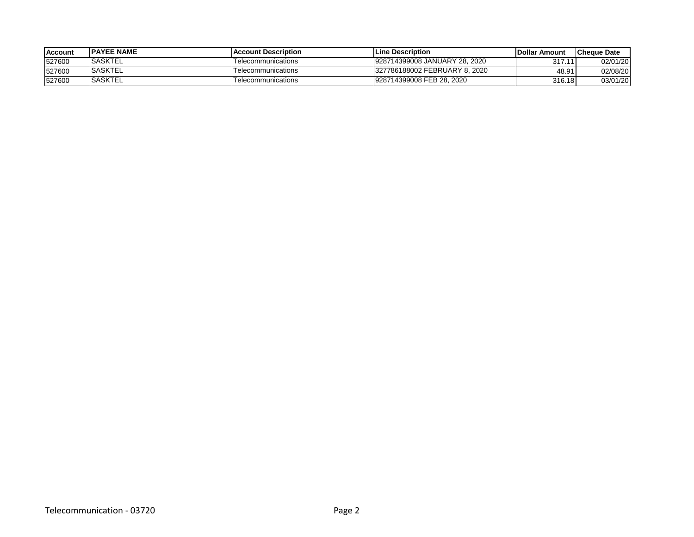| <b>Account</b> | <b>IPAYEE NAME</b> | <b>IAccount Description</b> | <b>ILine Description</b>      | <b>IDollar Amount</b> | <b>Cheque Date</b> |
|----------------|--------------------|-----------------------------|-------------------------------|-----------------------|--------------------|
| 527600         | <b>ISASKTEL</b>    | Felecommunications          | 928714399008 JANUARY 28, 2020 | 317.11                | 02/01/20           |
| 527600         | <b>SASKTEL</b>     | <b>Felecommunications</b>   | 327786188002 FEBRUARY 8, 2020 | 48.91                 | 02/08/20           |
| 527600         | <b>SASKTEL</b>     | elecommunications           | 928714399008 FEB 28, 2020     | 316.18                | 03/01/20           |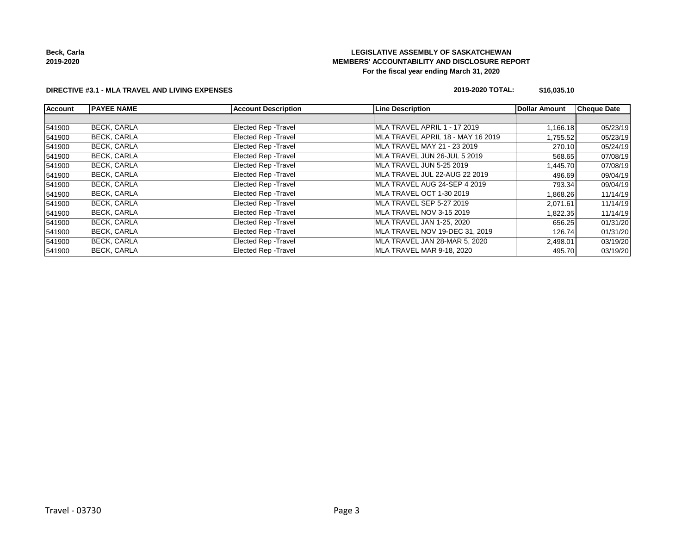**Beck, Carla 2019-2020**

## **LEGISLATIVE ASSEMBLY OF SASKATCHEWAN MEMBERS' ACCOUNTABILITY AND DISCLOSURE REPORT For the fiscal year ending March 31, 2020**

#### **DIRECTIVE #3.1 - MLA TRAVEL AND LIVING EXPENSES**

#### **2019-2020 TOTAL: \$16,035.10**

| <b>Account</b> | <b>IPAYEE NAME</b> | <b>Account Description</b>  | <b>Line Description</b>           | <b>Dollar Amount</b> | <b>Cheque Date</b> |
|----------------|--------------------|-----------------------------|-----------------------------------|----------------------|--------------------|
|                |                    |                             |                                   |                      |                    |
| 541900         | <b>BECK, CARLA</b> | <b>Elected Rep - Travel</b> | MLA TRAVEL APRIL 1 - 17 2019      | 1,166.18             | 05/23/19           |
| 541900         | <b>BECK, CARLA</b> | Elected Rep - Travel        | MLA TRAVEL APRIL 18 - MAY 16 2019 | 1,755.52             | 05/23/19           |
| 541900         | <b>BECK, CARLA</b> | Elected Rep - Travel        | MLA TRAVEL MAY 21 - 23 2019       | 270.10               | 05/24/19           |
| 541900         | <b>BECK, CARLA</b> | Elected Rep - Travel        | MLA TRAVEL JUN 26-JUL 5 2019      | 568.65               | 07/08/19           |
| 541900         | <b>BECK, CARLA</b> | Elected Rep - Travel        | MLA TRAVEL JUN 5-25 2019          | ا445.70.             | 07/08/19           |
| 541900         | <b>BECK, CARLA</b> | Elected Rep - Travel        | MLA TRAVEL JUL 22-AUG 22 2019     | 496.69               | 09/04/19           |
| 541900         | <b>BECK, CARLA</b> | Elected Rep - Travel        | MLA TRAVEL AUG 24-SEP 4 2019      | 793.34               | 09/04/19           |
| 541900         | <b>BECK, CARLA</b> | <b>Elected Rep - Travel</b> | MLA TRAVEL OCT 1-30 2019          | 1,868.26             | 11/14/19           |
| 541900         | <b>BECK, CARLA</b> | Elected Rep - Travel        | MLA TRAVEL SEP 5-27 2019          | 2,071.61             | 11/14/19           |
| 541900         | <b>BECK, CARLA</b> | Elected Rep - Travel        | MLA TRAVEL NOV 3-15 2019          | 822.35               | 11/14/19           |
| 541900         | <b>BECK, CARLA</b> | Elected Rep - Travel        | MLA TRAVEL JAN 1-25, 2020         | 656.25               | 01/31/20           |
| 541900         | <b>BECK, CARLA</b> | Elected Rep - Travel        | MLA TRAVEL NOV 19-DEC 31, 2019    | 126.74               | 01/31/20           |
| 541900         | <b>BECK, CARLA</b> | Elected Rep - Travel        | MLA TRAVEL JAN 28-MAR 5, 2020     | 2,498.01             | 03/19/20           |
| 541900         | <b>BECK, CARLA</b> | <b>Elected Rep - Travel</b> | MLA TRAVEL MAR 9-18, 2020         | 495.70               | 03/19/20           |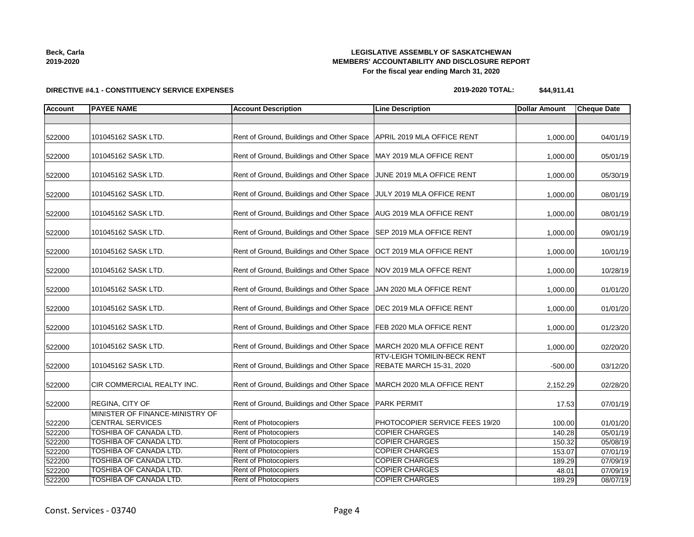## **LEGISLATIVE ASSEMBLY OF SASKATCHEWAN MEMBERS' ACCOUNTABILITY AND DISCLOSURE REPORT For the fiscal year ending March 31, 2020**

## **DIRECTIVE #4.1 - CONSTITUENCY SERVICE EXPENSES**

| 2019-2020 |
|-----------|
|           |

**2019-2020 TOTAL: \$44,911.41**

| <b>Account</b> | <b>PAYEE NAME</b>                                          | <b>Account Description</b>                | <b>Line Description</b>                                 | <b>Dollar Amount</b> | <b>Cheque Date</b> |
|----------------|------------------------------------------------------------|-------------------------------------------|---------------------------------------------------------|----------------------|--------------------|
|                |                                                            |                                           |                                                         |                      |                    |
| 522000         | 101045162 SASK LTD.                                        | Rent of Ground, Buildings and Other Space | APRIL 2019 MLA OFFICE RENT                              | 1,000.00             | 04/01/19           |
| 522000         | 101045162 SASK LTD.                                        | Rent of Ground, Buildings and Other Space | MAY 2019 MLA OFFICE RENT                                | 1,000.00             | 05/01/19           |
| 522000         | 101045162 SASK LTD.                                        | Rent of Ground, Buildings and Other Space | JUNE 2019 MLA OFFICE RENT                               | 1,000.00             | 05/30/19           |
| 522000         | 101045162 SASK LTD.                                        | Rent of Ground, Buildings and Other Space | JULY 2019 MLA OFFICE RENT                               | 1,000.00             | 08/01/19           |
| 522000         | 101045162 SASK LTD.                                        | Rent of Ground, Buildings and Other Space | AUG 2019 MLA OFFICE RENT                                | 1,000.00             | 08/01/19           |
| 522000         | 101045162 SASK LTD.                                        | Rent of Ground, Buildings and Other Space | SEP 2019 MLA OFFICE RENT                                | 1,000.00             | 09/01/19           |
| 522000         | 101045162 SASK LTD.                                        | Rent of Ground, Buildings and Other Space | OCT 2019 MLA OFFICE RENT                                | 1,000.00             | 10/01/19           |
| 522000         | 101045162 SASK LTD.                                        | Rent of Ground, Buildings and Other Space | NOV 2019 MLA OFFCE RENT                                 | 1,000.00             | 10/28/19           |
| 522000         | 101045162 SASK LTD.                                        | Rent of Ground, Buildings and Other Space | JAN 2020 MLA OFFICE RENT                                | 1,000.00             | 01/01/20           |
| 522000         | 101045162 SASK LTD.                                        | Rent of Ground, Buildings and Other Space | DEC 2019 MLA OFFICE RENT                                | 1,000.00             | 01/01/20           |
| 522000         | 101045162 SASK LTD.                                        | Rent of Ground, Buildings and Other Space | FEB 2020 MLA OFFICE RENT                                | 1,000.00             | 01/23/20           |
| 522000         | 101045162 SASK LTD.                                        | Rent of Ground, Buildings and Other Space | MARCH 2020 MLA OFFICE RENT                              | 1,000.00             | 02/20/20           |
| 522000         | 101045162 SASK LTD.                                        | Rent of Ground, Buildings and Other Space | RTV-LEIGH TOMILIN-BECK RENT<br>REBATE MARCH 15-31, 2020 | $-500.00$            | 03/12/20           |
| 522000         | CIR COMMERCIAL REALTY INC.                                 | Rent of Ground, Buildings and Other Space | MARCH 2020 MLA OFFICE RENT                              | 2,152.29             | 02/28/20           |
| 522000         | <b>REGINA, CITY OF</b>                                     | Rent of Ground, Buildings and Other Space | <b>PARK PERMIT</b>                                      | 17.53                | 07/01/19           |
| 522200         | MINISTER OF FINANCE-MINISTRY OF<br><b>CENTRAL SERVICES</b> | Rent of Photocopiers                      | PHOTOCOPIER SERVICE FEES 19/20                          | 100.00               | 01/01/20           |
| 522200         | TOSHIBA OF CANADA LTD.                                     | Rent of Photocopiers                      | <b>COPIER CHARGES</b>                                   | 140.28               | 05/01/19           |
| 522200         | TOSHIBA OF CANADA LTD.                                     | <b>Rent of Photocopiers</b>               | <b>COPIER CHARGES</b>                                   | 150.32               | 05/08/19           |
| 522200         | <b>TOSHIBA OF CANADA LTD.</b>                              | Rent of Photocopiers                      | <b>COPIER CHARGES</b>                                   | 153.07               | 07/01/19           |
| 522200         | TOSHIBA OF CANADA LTD.                                     | <b>Rent of Photocopiers</b>               | <b>COPIER CHARGES</b>                                   | 189.29               | 07/09/19           |
| 522200         | <b>TOSHIBA OF CANADA LTD.</b>                              | Rent of Photocopiers                      | <b>COPIER CHARGES</b>                                   | 48.01                | 07/09/19           |
| 522200         | TOSHIBA OF CANADA LTD.                                     | Rent of Photocopiers                      | <b>COPIER CHARGES</b>                                   | 189.29               | 08/07/19           |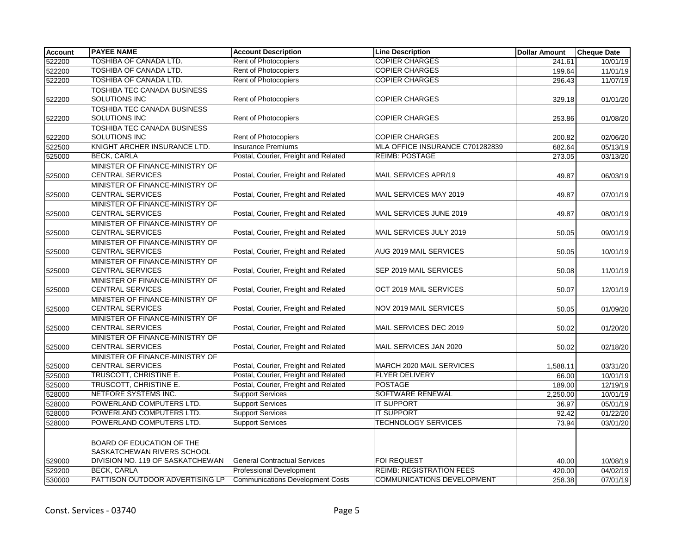| <b>Account</b> | <b>PAYEE NAME</b>                                          | <b>Account Description</b>              | <b>Line Description</b>         | <b>Dollar Amount</b> | <b>Cheque Date</b> |
|----------------|------------------------------------------------------------|-----------------------------------------|---------------------------------|----------------------|--------------------|
| 522200         | TOSHIBA OF CANADA LTD.                                     | Rent of Photocopiers                    | <b>COPIER CHARGES</b>           | 241.61               | 10/01/19           |
| 522200         | <b>TOSHIBA OF CANADA LTD.</b>                              | Rent of Photocopiers                    | <b>COPIER CHARGES</b>           | 199.64               | 11/01/19           |
| 522200         | TOSHIBA OF CANADA LTD.                                     | <b>Rent of Photocopiers</b>             | <b>COPIER CHARGES</b>           | 296.43               | 11/07/19           |
| 522200         | TOSHIBA TEC CANADA BUSINESS<br>SOLUTIONS INC               | Rent of Photocopiers                    | <b>COPIER CHARGES</b>           | 329.18               | 01/01/20           |
| 522200         | TOSHIBA TEC CANADA BUSINESS<br><b>SOLUTIONS INC</b>        | Rent of Photocopiers                    | <b>COPIER CHARGES</b>           | 253.86               | 01/08/20           |
| 522200         | <b>TOSHIBA TEC CANADA BUSINESS</b><br><b>SOLUTIONS INC</b> | <b>Rent of Photocopiers</b>             | <b>COPIER CHARGES</b>           | 200.82               | 02/06/20           |
| 522500         | KNIGHT ARCHER INSURANCE LTD.                               | <b>Insurance Premiums</b>               | MLA OFFICE INSURANCE C701282839 | 682.64               | 05/13/19           |
| 525000         | <b>BECK, CARLA</b>                                         | Postal, Courier, Freight and Related    | <b>REIMB: POSTAGE</b>           | 273.05               | 03/13/20           |
| 525000         | MINISTER OF FINANCE-MINISTRY OF<br><b>CENTRAL SERVICES</b> | Postal, Courier, Freight and Related    | MAIL SERVICES APR/19            | 49.87                | 06/03/19           |
| 525000         | MINISTER OF FINANCE-MINISTRY OF<br><b>CENTRAL SERVICES</b> | Postal, Courier, Freight and Related    | MAIL SERVICES MAY 2019          | 49.87                | 07/01/19           |
| 525000         | MINISTER OF FINANCE-MINISTRY OF<br><b>CENTRAL SERVICES</b> | Postal, Courier, Freight and Related    | MAIL SERVICES JUNE 2019         | 49.87                | 08/01/19           |
| 525000         | MINISTER OF FINANCE-MINISTRY OF<br><b>CENTRAL SERVICES</b> | Postal, Courier, Freight and Related    | MAIL SERVICES JULY 2019         | 50.05                | 09/01/19           |
| 525000         | MINISTER OF FINANCE-MINISTRY OF<br><b>CENTRAL SERVICES</b> | Postal, Courier, Freight and Related    | AUG 2019 MAIL SERVICES          | 50.05                | 10/01/19           |
| 525000         | MINISTER OF FINANCE-MINISTRY OF<br><b>CENTRAL SERVICES</b> | Postal, Courier, Freight and Related    | SEP 2019 MAIL SERVICES          | 50.08                | 11/01/19           |
| 525000         | MINISTER OF FINANCE-MINISTRY OF<br><b>CENTRAL SERVICES</b> | Postal, Courier, Freight and Related    | OCT 2019 MAIL SERVICES          | 50.07                | 12/01/19           |
| 525000         | MINISTER OF FINANCE-MINISTRY OF<br><b>CENTRAL SERVICES</b> | Postal, Courier, Freight and Related    | NOV 2019 MAIL SERVICES          | 50.05                | 01/09/20           |
| 525000         | MINISTER OF FINANCE-MINISTRY OF<br><b>CENTRAL SERVICES</b> | Postal, Courier, Freight and Related    | MAIL SERVICES DEC 2019          | 50.02                | 01/20/20           |
| 525000         | MINISTER OF FINANCE-MINISTRY OF<br><b>CENTRAL SERVICES</b> | Postal, Courier, Freight and Related    | MAIL SERVICES JAN 2020          | 50.02                | 02/18/20           |
| 525000         | MINISTER OF FINANCE-MINISTRY OF<br><b>CENTRAL SERVICES</b> | Postal, Courier, Freight and Related    | MARCH 2020 MAIL SERVICES        | 1,588.11             | 03/31/20           |
| 525000         | TRUSCOTT, CHRISTINE E.                                     | Postal, Courier, Freight and Related    | <b>FLYER DELIVERY</b>           | 66.00                | 10/01/19           |
| 525000         | TRUSCOTT, CHRISTINE E.                                     | Postal, Courier, Freight and Related    | <b>POSTAGE</b>                  | 189.00               | 12/19/19           |
| 528000         | NETFORE SYSTEMS INC.                                       | <b>Support Services</b>                 | SOFTWARE RENEWAL                | 2,250.00             | 10/01/19           |
| 528000         | POWERLAND COMPUTERS LTD.                                   | <b>Support Services</b>                 | <b>IT SUPPORT</b>               | 36.97                | 05/01/19           |
| 528000         | POWERLAND COMPUTERS LTD.                                   | <b>Support Services</b>                 | <b>IT SUPPORT</b>               | 92.42                | 01/22/20           |
| 528000         | POWERLAND COMPUTERS LTD.                                   | <b>Support Services</b>                 | TECHNOLOGY SERVICES             | 73.94                | 03/01/20           |
|                | BOARD OF EDUCATION OF THE<br>SASKATCHEWAN RIVERS SCHOOL    |                                         |                                 |                      |                    |
| 529000         | DIVISION NO. 119 OF SASKATCHEWAN                           | <b>General Contractual Services</b>     | <b>FOI REQUEST</b>              | 40.00                | 10/08/19           |
| 529200         | <b>BECK, CARLA</b>                                         | <b>Professional Development</b>         | <b>REIMB: REGISTRATION FEES</b> | 420.00               | 04/02/19           |
| 530000         | PATTISON OUTDOOR ADVERTISING LP                            | <b>Communications Development Costs</b> | COMMUNICATIONS DEVELOPMENT      | 258.38               | 07/01/19           |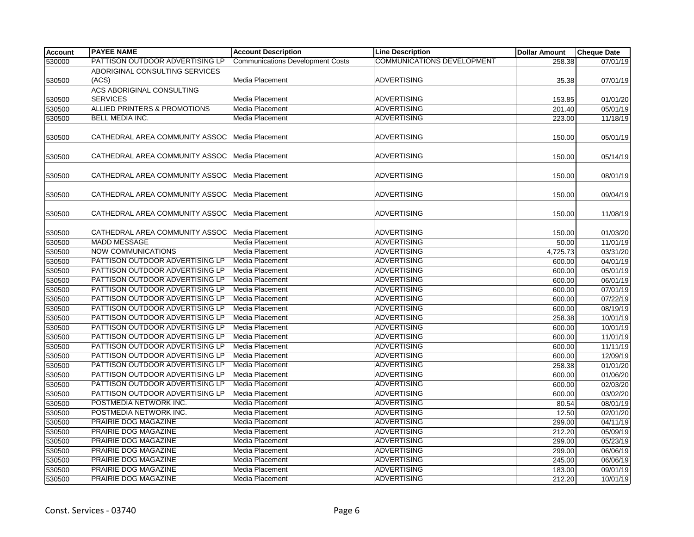| <b>Account</b> | <b>PAYEE NAME</b>                       | <b>Account Description</b>              | <b>Line Description</b>                  | <b>Dollar Amount</b> | <b>Cheque Date</b> |
|----------------|-----------------------------------------|-----------------------------------------|------------------------------------------|----------------------|--------------------|
| 530000         | PATTISON OUTDOOR ADVERTISING LP         | <b>Communications Development Costs</b> | <b>COMMUNICATIONS DEVELOPMENT</b>        | 258.38               | 07/01/19           |
|                | ABORIGINAL CONSULTING SERVICES          |                                         |                                          |                      |                    |
| 530500         | (ACS)                                   | Media Placement                         | <b>ADVERTISING</b>                       | 35.38                | 07/01/19           |
|                | <b>ACS ABORIGINAL CONSULTING</b>        |                                         |                                          |                      |                    |
| 530500         | <b>SERVICES</b>                         | Media Placement                         | <b>ADVERTISING</b>                       | 153.85               | 01/01/20           |
| 530500         | <b>ALLIED PRINTERS &amp; PROMOTIONS</b> | Media Placement                         | <b>ADVERTISING</b>                       | 201.40               | 05/01/19           |
| 530500         | <b>BELL MEDIA INC.</b>                  | Media Placement                         | <b>ADVERTISING</b>                       | 223.00               | 11/18/19           |
|                |                                         |                                         |                                          |                      |                    |
| 530500         | CATHEDRAL AREA COMMUNITY ASSOC          | Media Placement                         | <b>ADVERTISING</b>                       | 150.00               | 05/01/19           |
|                |                                         |                                         |                                          |                      |                    |
| 530500         | CATHEDRAL AREA COMMUNITY ASSOC          | Media Placement                         | <b>ADVERTISING</b>                       | 150.00               | 05/14/19           |
|                |                                         |                                         |                                          |                      |                    |
| 530500         | CATHEDRAL AREA COMMUNITY ASSOC          | Media Placement                         | <b>ADVERTISING</b>                       | 150.00               | 08/01/19           |
|                |                                         |                                         |                                          |                      |                    |
| 530500         | CATHEDRAL AREA COMMUNITY ASSOC          | Media Placement                         | <b>ADVERTISING</b>                       | 150.00               | 09/04/19           |
|                |                                         |                                         |                                          |                      |                    |
| 530500         | CATHEDRAL AREA COMMUNITY ASSOC          | Media Placement                         | <b>ADVERTISING</b>                       | 150.00               | 11/08/19           |
|                |                                         |                                         |                                          |                      |                    |
| 530500         | CATHEDRAL AREA COMMUNITY ASSOC          | Media Placement                         | <b>ADVERTISING</b>                       | 150.00               | 01/03/20           |
| 530500         | <b>MADD MESSAGE</b>                     | Media Placement                         | <b>ADVERTISING</b>                       | 50.00                | 11/01/19           |
| 530500         | <b>NOW COMMUNICATIONS</b>               | Media Placement                         | <b>ADVERTISING</b>                       | 4,725.73             | 03/31/20           |
| 530500         | PATTISON OUTDOOR ADVERTISING LP         | Media Placement                         | <b>ADVERTISING</b>                       | 600.00               | 04/01/19           |
| 530500         | PATTISON OUTDOOR ADVERTISING LP         | Media Placement                         | <b>ADVERTISING</b>                       | 600.00               | 05/01/19           |
| 530500         | PATTISON OUTDOOR ADVERTISING LP         | Media Placement                         | <b>ADVERTISING</b>                       | 600.00               | 06/01/19           |
| 530500         | PATTISON OUTDOOR ADVERTISING LP         | Media Placement                         | ADVERTISING                              | 600.00               | 07/01/19           |
| 530500         | PATTISON OUTDOOR ADVERTISING LP         | Media Placement                         | <b>ADVERTISING</b>                       | 600.00               | 07/22/19           |
| 530500         | PATTISON OUTDOOR ADVERTISING LP         | Media Placement                         | <b>ADVERTISING</b>                       | 600.00               | 08/19/19           |
| 530500         | PATTISON OUTDOOR ADVERTISING LP         | Media Placement                         | <b>ADVERTISING</b>                       | 258.38               | 10/01/19           |
| 530500         | PATTISON OUTDOOR ADVERTISING LP         | Media Placement                         | <b>ADVERTISING</b>                       | 600.00               | 10/01/19           |
| 530500         | PATTISON OUTDOOR ADVERTISING LP         | Media Placement                         | ADVERTISING                              | 600.00               | 11/01/19           |
| 530500         | PATTISON OUTDOOR ADVERTISING LP         | <b>Media Placement</b>                  | <b>ADVERTISING</b>                       | 600.00               | 11/11/19           |
| 530500         | PATTISON OUTDOOR ADVERTISING LP         | Media Placement                         | <b>ADVERTISING</b>                       | 600.00               | 12/09/19           |
| 530500         | PATTISON OUTDOOR ADVERTISING LP         | Media Placement                         | <b>ADVERTISING</b>                       | 258.38               | 01/01/20           |
| 530500         | PATTISON OUTDOOR ADVERTISING LP         | Media Placement                         | <b>ADVERTISING</b>                       | 600.00               | 01/06/20           |
| 530500         | PATTISON OUTDOOR ADVERTISING LP         | Media Placement                         | ADVERTISING                              | 600.00               | 02/03/20           |
| 530500         | PATTISON OUTDOOR ADVERTISING LP         | Media Placement                         | <b>ADVERTISING</b>                       | 600.00               | 03/02/20           |
| 530500         | POSTMEDIA NETWORK INC.                  | <b>Media Placement</b>                  | <b>ADVERTISING</b>                       | 80.54                | 08/01/19           |
| 530500         | POSTMEDIA NETWORK INC.                  | Media Placement                         | <b>ADVERTISING</b>                       | 12.50                | 02/01/20           |
| 530500         | PRAIRIE DOG MAGAZINE                    | Media Placement                         | <b>ADVERTISING</b>                       | 299.00               | 04/11/19           |
| 530500         | PRAIRIE DOG MAGAZINE                    | Media Placement                         | <b>ADVERTISING</b>                       | 212.20               | 05/09/19           |
| 530500         | PRAIRIE DOG MAGAZINE                    | Media Placement                         | <b>ADVERTISING</b><br><b>ADVERTISING</b> | 299.00               | 05/23/19           |
| 530500         | PRAIRIE DOG MAGAZINE                    | Media Placement                         | <b>ADVERTISING</b>                       | 299.00               | 06/06/19           |
| 530500         | PRAIRIE DOG MAGAZINE                    | Media Placement                         | <b>ADVERTISING</b>                       | 245.00               | 06/06/19           |
| 530500         | PRAIRIE DOG MAGAZINE                    | Media Placement                         |                                          | 183.00               | 09/01/19           |
| 530500         | PRAIRIE DOG MAGAZINE                    | Media Placement                         | <b>ADVERTISING</b>                       | 212.20               | 10/01/19           |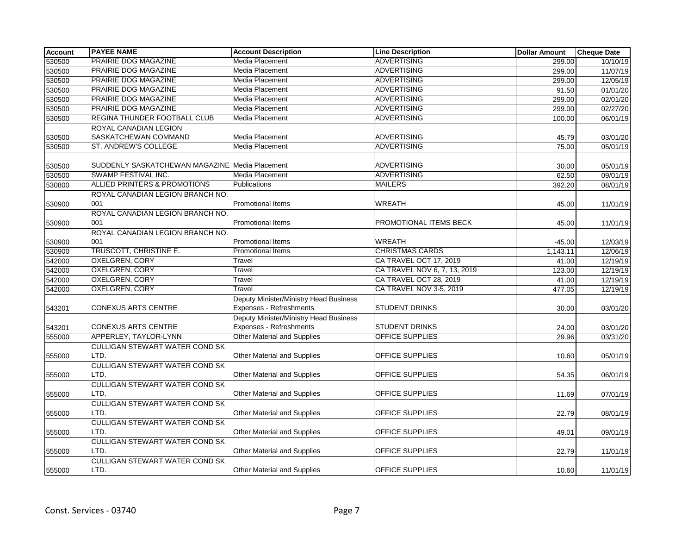| <b>Account</b> | <b>PAYEE NAME</b>                              | <b>Account Description</b>             | <b>Line Description</b>      | <b>Dollar Amount</b> | <b>Cheque Date</b>    |
|----------------|------------------------------------------------|----------------------------------------|------------------------------|----------------------|-----------------------|
| 530500         | PRAIRIE DOG MAGAZINE                           | Media Placement                        | <b>ADVERTISING</b>           | 299.00               | $\frac{10}{10}$ 10/19 |
| 530500         | PRAIRIE DOG MAGAZINE                           | <b>Media Placement</b>                 | <b>ADVERTISING</b>           | 299.00               | 11/07/19              |
| 530500         | PRAIRIE DOG MAGAZINE                           | Media Placement                        | <b>ADVERTISING</b>           | 299.00               | 12/05/19              |
| 530500         | PRAIRIE DOG MAGAZINE                           | Media Placement                        | <b>ADVERTISING</b>           | 91.50                | 01/01/20              |
| 530500         | PRAIRIE DOG MAGAZINE                           | Media Placement                        | <b>ADVERTISING</b>           | 299.00               | 02/01/20              |
| 530500         | PRAIRIE DOG MAGAZINE                           | Media Placement                        | <b>ADVERTISING</b>           | 299.00               | 02/27/20              |
| 530500         | REGINA THUNDER FOOTBALL CLUB                   | Media Placement                        | <b>ADVERTISING</b>           | 100.00               | 06/01/19              |
|                | ROYAL CANADIAN LEGION                          |                                        |                              |                      |                       |
| 530500         | SASKATCHEWAN COMMAND                           | Media Placement                        | <b>ADVERTISING</b>           | 45.79                | 03/01/20              |
| 530500         | ST. ANDREW'S COLLEGE                           | Media Placement                        | <b>ADVERTISING</b>           | 75.00                | 05/01/19              |
|                |                                                |                                        |                              |                      |                       |
| 530500         | SUDDENLY SASKATCHEWAN MAGAZINE Media Placement |                                        | <b>ADVERTISING</b>           | 30.00                | 05/01/19              |
| 530500         | SWAMP FESTIVAL INC.                            | Media Placement                        | <b>ADVERTISING</b>           | 62.50                | 09/01/19              |
| 530800         | ALLIED PRINTERS & PROMOTIONS                   | <b>Publications</b>                    | <b>MAILERS</b>               | 392.20               | 08/01/19              |
|                | ROYAL CANADIAN LEGION BRANCH NO.               |                                        |                              |                      |                       |
| 530900         | 001                                            | <b>Promotional Items</b>               | WREATH                       | 45.00                | 11/01/19              |
|                | ROYAL CANADIAN LEGION BRANCH NO.               |                                        |                              |                      |                       |
| 530900         | 001                                            | <b>Promotional Items</b>               | PROMOTIONAL ITEMS BECK       | 45.00                | 11/01/19              |
|                | ROYAL CANADIAN LEGION BRANCH NO.               |                                        |                              |                      |                       |
| 530900         | 001                                            | Promotional Items                      | <b>WREATH</b>                | $-45.00$             | 12/03/19              |
| 530900         | TRUSCOTT, CHRISTINE E.                         | <b>Promotional Items</b>               | <b>CHRISTMAS CARDS</b>       | 1,143.11             | 12/06/19              |
| 542000         | <b>OXELGREN, CORY</b>                          | Travel                                 | CA TRAVEL OCT 17, 2019       | 41.00                | 12/19/19              |
| 542000         | <b>OXELGREN, CORY</b>                          | Travel                                 | CA TRAVEL NOV 6, 7, 13, 2019 | 123.00               | 12/19/19              |
| 542000         | OXELGREN, CORY                                 | Travel                                 | CA TRAVEL OCT 28, 2019       | 41.00                | 12/19/19              |
| 542000         | <b>OXELGREN, CORY</b>                          | Travel                                 | CA TRAVEL NOV 3-5, 2019      | 477.05               | 12/19/19              |
|                |                                                | Deputy Minister/Ministry Head Business |                              |                      |                       |
| 543201         | <b>CONEXUS ARTS CENTRE</b>                     | Expenses - Refreshments                | <b>STUDENT DRINKS</b>        | 30.00                | 03/01/20              |
|                |                                                | Deputy Minister/Ministry Head Business |                              |                      |                       |
| 543201         | <b>CONEXUS ARTS CENTRE</b>                     | Expenses - Refreshments                | <b>STUDENT DRINKS</b>        | 24.00                | 03/01/20              |
| 555000         | APPERLEY, TAYLOR-LYNN                          | Other Material and Supplies            | <b>OFFICE SUPPLIES</b>       | 29.96                | 03/31/20              |
|                | <b>CULLIGAN STEWART WATER COND SK</b>          |                                        |                              |                      |                       |
| 555000         | LTD.                                           | <b>Other Material and Supplies</b>     | OFFICE SUPPLIES              | 10.60                | 05/01/19              |
|                | <b>CULLIGAN STEWART WATER COND SK</b>          |                                        |                              |                      |                       |
| 555000         | LTD.                                           | Other Material and Supplies            | OFFICE SUPPLIES              | 54.35                | 06/01/19              |
|                | <b>CULLIGAN STEWART WATER COND SK</b>          |                                        |                              |                      |                       |
| 555000         | LTD.                                           | Other Material and Supplies            | OFFICE SUPPLIES              | 11.69                | 07/01/19              |
|                | <b>CULLIGAN STEWART WATER COND SK</b>          |                                        |                              |                      |                       |
| 555000         | LTD.                                           | Other Material and Supplies            | OFFICE SUPPLIES              | 22.79                | 08/01/19              |
|                | CULLIGAN STEWART WATER COND SK                 |                                        |                              |                      |                       |
| 555000         | LTD.                                           | Other Material and Supplies            | OFFICE SUPPLIES              | 49.01                | 09/01/19              |
|                | CULLIGAN STEWART WATER COND SK                 |                                        |                              |                      |                       |
| 555000         | LTD.                                           | Other Material and Supplies            | <b>OFFICE SUPPLIES</b>       | 22.79                | 11/01/19              |
|                | <b>CULLIGAN STEWART WATER COND SK</b>          |                                        |                              |                      |                       |
| 555000         | LTD.                                           | <b>Other Material and Supplies</b>     | <b>OFFICE SUPPLIES</b>       | 10.60                | 11/01/19              |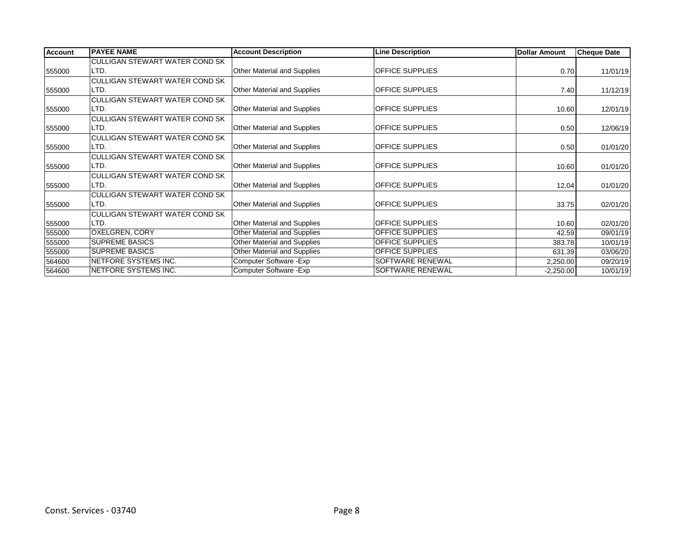| <b>Account</b> | <b>IPAYEE NAME</b>                    | <b>Account Description</b>         | <b>Line Description</b> | <b>Dollar Amount</b> | <b>Cheque Date</b> |
|----------------|---------------------------------------|------------------------------------|-------------------------|----------------------|--------------------|
|                | CULLIGAN STEWART WATER COND SK        |                                    |                         |                      |                    |
| 555000         | LTD.                                  | Other Material and Supplies        | <b>OFFICE SUPPLIES</b>  | 0.70                 | 11/01/19           |
|                | CULLIGAN STEWART WATER COND SK        |                                    |                         |                      |                    |
| 555000         | LTD.                                  | Other Material and Supplies        | <b>OFFICE SUPPLIES</b>  | 7.40                 | 11/12/19           |
|                | CULLIGAN STEWART WATER COND SK        |                                    |                         |                      |                    |
| 555000         | LTD.                                  | <b>Other Material and Supplies</b> | <b>OFFICE SUPPLIES</b>  | 10.60                | 12/01/19           |
|                | <b>CULLIGAN STEWART WATER COND SK</b> |                                    |                         |                      |                    |
| 555000         | ILTD.                                 | <b>Other Material and Supplies</b> | <b>OFFICE SUPPLIES</b>  | 0.50                 | 12/06/19           |
|                | CULLIGAN STEWART WATER COND SK        |                                    |                         |                      |                    |
| 555000         | LTD.                                  | Other Material and Supplies        | <b>OFFICE SUPPLIES</b>  | 0.50                 | 01/01/20           |
|                | <b>CULLIGAN STEWART WATER COND SK</b> |                                    |                         |                      |                    |
| 555000         | LTD.                                  | Other Material and Supplies        | <b>OFFICE SUPPLIES</b>  | 10.60                | 01/01/20           |
|                | CULLIGAN STEWART WATER COND SK        |                                    |                         |                      |                    |
| 555000         | LTD.                                  | Other Material and Supplies        | <b>OFFICE SUPPLIES</b>  | 12.04                | 01/01/20           |
|                | <b>CULLIGAN STEWART WATER COND SK</b> |                                    |                         |                      |                    |
| 555000         | LTD.                                  | <b>Other Material and Supplies</b> | <b>OFFICE SUPPLIES</b>  | 33.75                | 02/01/20           |
|                | <b>CULLIGAN STEWART WATER COND SK</b> |                                    |                         |                      |                    |
| 555000         | LTD.                                  | Other Material and Supplies        | <b>OFFICE SUPPLIES</b>  | 10.60                | 02/01/20           |
| 555000         | <b>OXELGREN, CORY</b>                 | Other Material and Supplies        | <b>OFFICE SUPPLIES</b>  | 42.59                | 09/01/19           |
| 555000         | <b>SUPREME BASICS</b>                 | Other Material and Supplies        | <b>OFFICE SUPPLIES</b>  | 383.78               | 10/01/19           |
| 555000         | <b>SUPREME BASICS</b>                 | Other Material and Supplies        | <b>OFFICE SUPPLIES</b>  | 631.39               | 03/06/20           |
| 564600         | NETFORE SYSTEMS INC.                  | Computer Software - Exp            | SOFTWARE RENEWAL        | 2,250.00             | 09/20/19           |
| 564600         | NETFORE SYSTEMS INC.                  | Computer Software - Exp            | <b>SOFTWARE RENEWAL</b> | $-2,250.00$          | 10/01/19           |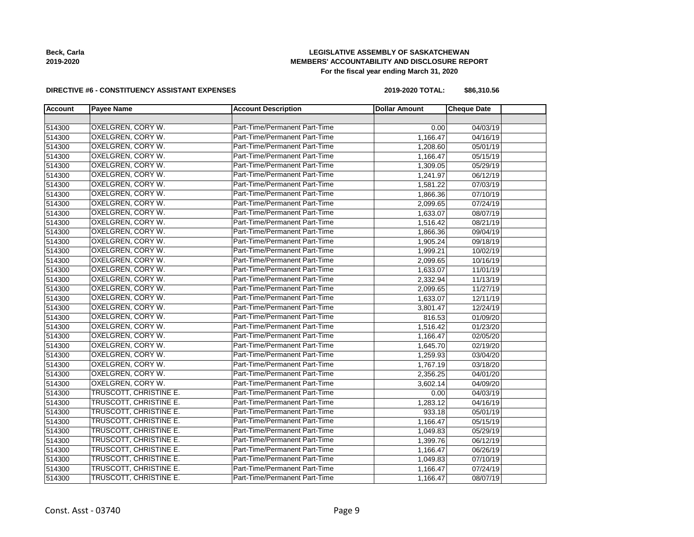**2019-2020**

## **LEGISLATIVE ASSEMBLY OF SASKATCHEWAN MEMBERS' ACCOUNTABILITY AND DISCLOSURE REPORT For the fiscal year ending March 31, 2020**

#### **DIRECTIVE #6 - CONSTITUENCY ASSISTANT EXPENSES**

| 2019-2020 TOTAL: | \$86,310.56 |
|------------------|-------------|
|------------------|-------------|

| <b>Account</b> | <b>Payee Name</b>        | <b>Account Description</b>    | <b>Dollar Amount</b> | <b>Cheque Date</b> |
|----------------|--------------------------|-------------------------------|----------------------|--------------------|
|                |                          |                               |                      |                    |
| 514300         | <b>OXELGREN, CORY W.</b> | Part-Time/Permanent Part-Time | 0.00                 | 04/03/19           |
| 514300         | <b>OXELGREN, CORY W.</b> | Part-Time/Permanent Part-Time | 1,166.47             | 04/16/19           |
| 514300         | OXELGREN, CORY W.        | Part-Time/Permanent Part-Time | 1,208.60             | 05/01/19           |
| 514300         | OXELGREN, CORY W.        | Part-Time/Permanent Part-Time | 1,166.47             | 05/15/19           |
| 514300         | <b>OXELGREN, CORY W.</b> | Part-Time/Permanent Part-Time | 1,309.05             | 05/29/19           |
| 514300         | <b>OXELGREN, CORY W.</b> | Part-Time/Permanent Part-Time | 1,241.97             | 06/12/19           |
| 514300         | OXELGREN, CORY W.        | Part-Time/Permanent Part-Time | 1,581.22             | 07/03/19           |
| 514300         | <b>OXELGREN, CORY W.</b> | Part-Time/Permanent Part-Time | 1,866.36             | 07/10/19           |
| 514300         | OXELGREN, CORY W.        | Part-Time/Permanent Part-Time | 2,099.65             | 07/24/19           |
| 514300         | OXELGREN, CORY W.        | Part-Time/Permanent Part-Time | 1,633.07             | 08/07/19           |
| 514300         | OXELGREN, CORY W.        | Part-Time/Permanent Part-Time | 1,516.42             | 08/21/19           |
| 514300         | <b>OXELGREN, CORY W.</b> | Part-Time/Permanent Part-Time | 1,866.36             | 09/04/19           |
| 514300         | OXELGREN, CORY W.        | Part-Time/Permanent Part-Time | 1,905.24             | 09/18/19           |
| 514300         | OXELGREN, CORY W.        | Part-Time/Permanent Part-Time | 1,999.21             | 10/02/19           |
| 514300         | OXELGREN, CORY W.        | Part-Time/Permanent Part-Time | 2,099.65             | 10/16/19           |
| 514300         | OXELGREN, CORY W.        | Part-Time/Permanent Part-Time | 1,633.07             | 11/01/19           |
| 514300         | <b>OXELGREN, CORY W.</b> | Part-Time/Permanent Part-Time | 2,332.94             | 11/13/19           |
| 514300         | OXELGREN, CORY W.        | Part-Time/Permanent Part-Time | 2,099.65             | 11/27/19           |
| 514300         | OXELGREN, CORY W.        | Part-Time/Permanent Part-Time | 1,633.07             | 12/11/19           |
| 514300         | OXELGREN, CORY W.        | Part-Time/Permanent Part-Time | 3,801.47             | 12/24/19           |
| 514300         | <b>OXELGREN, CORY W.</b> | Part-Time/Permanent Part-Time | 816.53               | 01/09/20           |
| 514300         | <b>OXELGREN, CORY W.</b> | Part-Time/Permanent Part-Time | 1,516.42             | 01/23/20           |
| 514300         | <b>OXELGREN, CORY W.</b> | Part-Time/Permanent Part-Time | 1,166.47             | 02/05/20           |
| 514300         | OXELGREN, CORY W.        | Part-Time/Permanent Part-Time | 1,645.70             | 02/19/20           |
| 514300         | OXELGREN, CORY W.        | Part-Time/Permanent Part-Time | 1,259.93             | 03/04/20           |
| 514300         | OXELGREN, CORY W.        | Part-Time/Permanent Part-Time | 1,767.19             | 03/18/20           |
| 514300         | OXELGREN, CORY W.        | Part-Time/Permanent Part-Time | 2,356.25             | 04/01/20           |
| 514300         | <b>OXELGREN, CORY W.</b> | Part-Time/Permanent Part-Time | 3,602.14             | 04/09/20           |
| 514300         | TRUSCOTT, CHRISTINE E.   | Part-Time/Permanent Part-Time | 0.00                 | 04/03/19           |
| 514300         | TRUSCOTT, CHRISTINE E.   | Part-Time/Permanent Part-Time | 1,283.12             | 04/16/19           |
| 514300         | TRUSCOTT, CHRISTINE E.   | Part-Time/Permanent Part-Time | 933.18               | 05/01/19           |
| 514300         | TRUSCOTT, CHRISTINE E.   | Part-Time/Permanent Part-Time | 1,166.47             | 05/15/19           |
| 514300         | TRUSCOTT, CHRISTINE E.   | Part-Time/Permanent Part-Time | 1,049.83             | 05/29/19           |
| 514300         | TRUSCOTT, CHRISTINE E.   | Part-Time/Permanent Part-Time | 1,399.76             | 06/12/19           |
| 514300         | TRUSCOTT, CHRISTINE E.   | Part-Time/Permanent Part-Time | 1,166.47             | 06/26/19           |
| 514300         | TRUSCOTT, CHRISTINE E.   | Part-Time/Permanent Part-Time | 1,049.83             | 07/10/19           |
| 514300         | TRUSCOTT, CHRISTINE E.   | Part-Time/Permanent Part-Time | 1,166.47             | 07/24/19           |
| 514300         | TRUSCOTT, CHRISTINE E.   | Part-Time/Permanent Part-Time | 1,166.47             | 08/07/19           |

**Beck, Carla**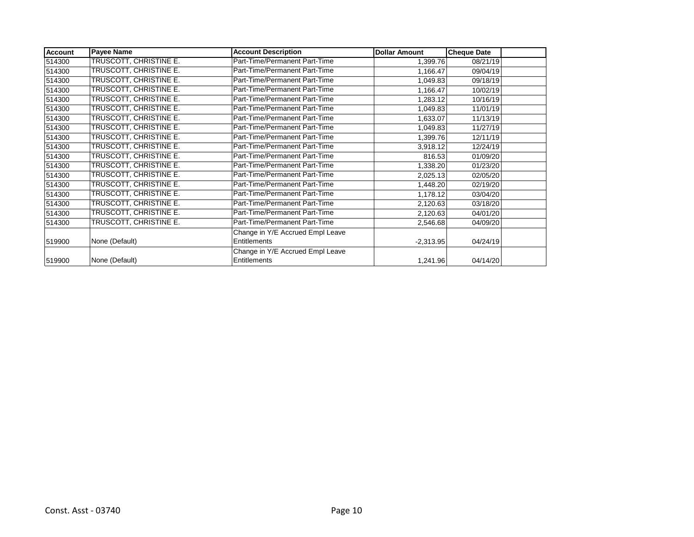| <b>Account</b> | <b>Payee Name</b>             | <b>Account Description</b>       | <b>Dollar Amount</b> | <b>Cheque Date</b> |  |
|----------------|-------------------------------|----------------------------------|----------------------|--------------------|--|
| 514300         | TRUSCOTT, CHRISTINE E.        | Part-Time/Permanent Part-Time    | 1,399.76             | 08/21/19           |  |
| 514300         | TRUSCOTT, CHRISTINE E.        | Part-Time/Permanent Part-Time    | 1,166.47             | 09/04/19           |  |
| 514300         | TRUSCOTT, CHRISTINE E.        | Part-Time/Permanent Part-Time    | 1,049.83             | 09/18/19           |  |
| 514300         | TRUSCOTT, CHRISTINE E.        | Part-Time/Permanent Part-Time    | 1,166.47             | 10/02/19           |  |
| 514300         | TRUSCOTT, CHRISTINE E.        | Part-Time/Permanent Part-Time    | 1,283.12             | 10/16/19           |  |
| 514300         | TRUSCOTT, CHRISTINE E.        | Part-Time/Permanent Part-Time    | 1,049.83             | 11/01/19           |  |
| 514300         | TRUSCOTT, CHRISTINE E.        | Part-Time/Permanent Part-Time    | 1,633.07             | 11/13/19           |  |
| 514300         | TRUSCOTT, CHRISTINE E.        | Part-Time/Permanent Part-Time    | 1,049.83             | 11/27/19           |  |
| 514300         | TRUSCOTT, CHRISTINE E.        | Part-Time/Permanent Part-Time    | 1,399.76             | 12/11/19           |  |
| 514300         | TRUSCOTT, CHRISTINE E.        | Part-Time/Permanent Part-Time    | 3,918.12             | 12/24/19           |  |
| 514300         | TRUSCOTT, CHRISTINE E.        | Part-Time/Permanent Part-Time    | 816.53               | 01/09/20           |  |
| 514300         | TRUSCOTT, CHRISTINE E.        | Part-Time/Permanent Part-Time    | 1,338.20             | 01/23/20           |  |
| 514300         | <b>TRUSCOTT, CHRISTINE E.</b> | Part-Time/Permanent Part-Time    | 2,025.13             | 02/05/20           |  |
| 514300         | TRUSCOTT, CHRISTINE E.        | Part-Time/Permanent Part-Time    | 1,448.20             | 02/19/20           |  |
| 514300         | TRUSCOTT, CHRISTINE E.        | Part-Time/Permanent Part-Time    | 1,178.12             | 03/04/20           |  |
| 514300         | TRUSCOTT, CHRISTINE E.        | Part-Time/Permanent Part-Time    | 2,120.63             | 03/18/20           |  |
| 514300         | TRUSCOTT, CHRISTINE E.        | Part-Time/Permanent Part-Time    | 2,120.63             | 04/01/20           |  |
| 514300         | TRUSCOTT, CHRISTINE E.        | Part-Time/Permanent Part-Time    | 2,546.68             | 04/09/20           |  |
|                |                               | Change in Y/E Accrued Empl Leave |                      |                    |  |
| 519900         | None (Default)                | <b>Entitlements</b>              | $-2,313.95$          | 04/24/19           |  |
|                |                               | Change in Y/E Accrued Empl Leave |                      |                    |  |
| 519900         | None (Default)                | Entitlements                     | 1,241.96             | 04/14/20           |  |